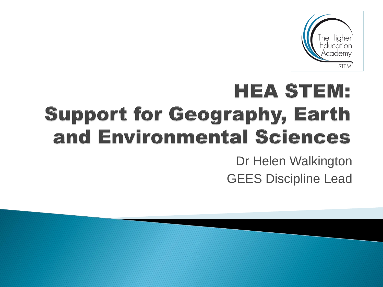

## **HEA STEM: Support for Geography, Earth** and Environmental Sciences

Dr Helen Walkington GEES Discipline Lead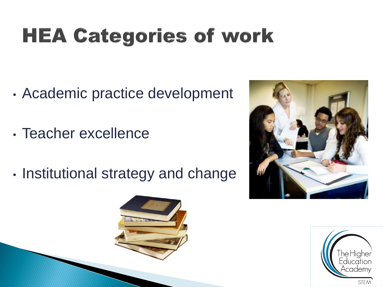## **HEA Categories of work**

- Academic practice development
- Teacher excellence
- Institutional strategy and change



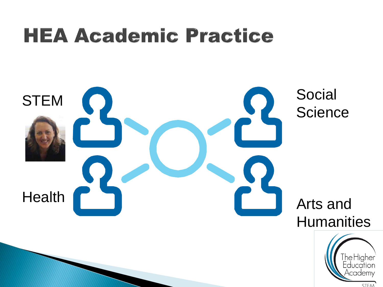### **HEA Academic Practice**

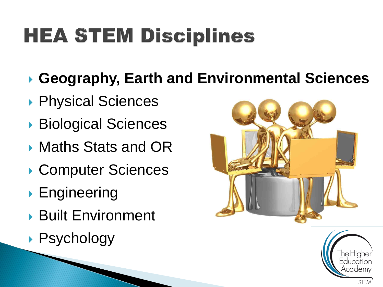## **HEA STEM Disciplines**

- **Geography, Earth and Environmental Sciences**
- ▶ Physical Sciences
- ▶ Biological Sciences
- ▶ Maths Stats and OR
- ▶ Computer Sciences
- **Engineering**
- Built Environment
- ▶ Psychology



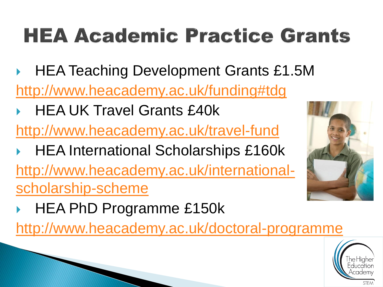## **HEA Academic Practice Grants**

- ▶ HEA Teaching Development Grants £1.5M [http://www.heacademy.ac.uk/funding#tdg](http://www.heacademy.ac.uk/funding)
- HEA UK Travel Grants £40k
- <http://www.heacademy.ac.uk/travel-fund>
- HEA International Scholarships £160k [http://www.heacademy.ac.uk/international](http://www.heacademy.ac.uk/international-scholarship-scheme)[scholarship-scheme](http://www.heacademy.ac.uk/international-scholarship-scheme)
- HEA PhD Programme £150k

<http://www.heacademy.ac.uk/doctoral-programme>



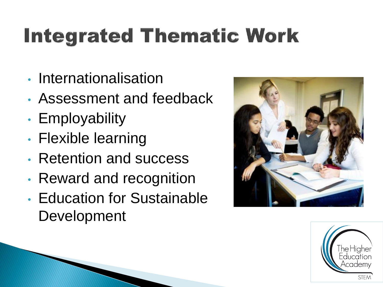# **Integrated Thematic Work**

- Internationalisation
- Assessment and feedback
- Employability
- Flexible learning
- Retention and success
- Reward and recognition
- Education for Sustainable Development



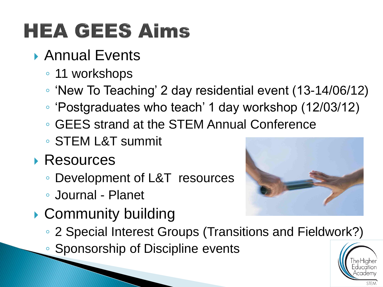## **HEA GEES Aims**

- ▶ Annual Events
	- 11 workshops
	- 'New To Teaching' 2 day residential event (13-14/06/12)
	- 'Postgraduates who teach' 1 day workshop (12/03/12)
	- GEES strand at the STEM Annual Conference
	- STEM L&T summit
- Resources
	- Development of L&T resources
	- Journal Planet
- ▶ Community building



- 2 Special Interest Groups (Transitions and Fieldwork?)
- Sponsorship of Discipline events

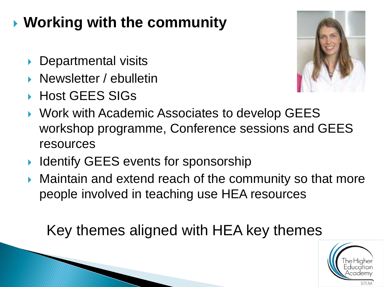#### **Working with the community**

- Departmental visits
- **Newsletter / ebulletin**
- ▶ Host GEES SIGs



- ▶ Work with Academic Associates to develop GEES workshop programme, Conference sessions and GEES resources
- ▶ Identify GEES events for sponsorship
- **Maintain and extend reach of the community so that more** people involved in teaching use HEA resources

Key themes aligned with HEA key themes

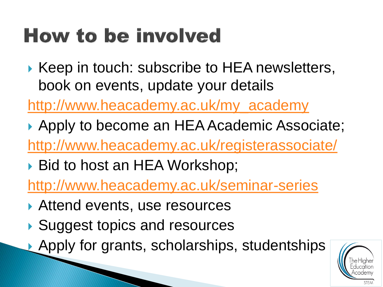## **How to be involved**

▶ Keep in touch: subscribe to HEA newsletters, book on events, update your details

[http://www.heacademy.ac.uk/my\\_academy](http://www.heacademy.ac.uk/my_academy)

- Apply to become an HEA Academic Associate; <http://www.heacademy.ac.uk/registerassociate/>
- ▶ Bid to host an HEA Workshop;

<http://www.heacademy.ac.uk/seminar-series>

- ▶ Attend events, use resources
- ▶ Suggest topics and resources
- ▶ Apply for grants, scholarships, studentships